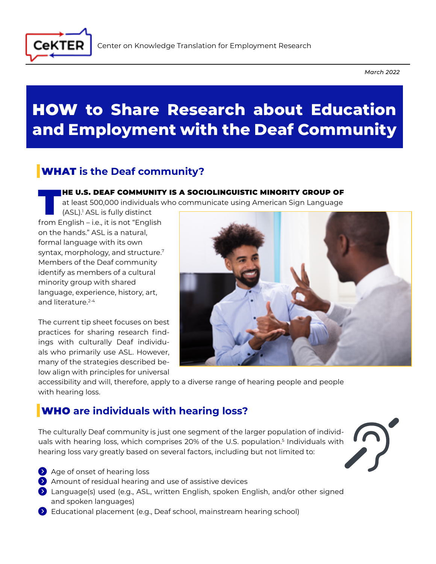

*March 2022*

# HOW **to Share Research about Education and Employment with the Deaf Community**

# WHAT **is the Deaf community?**

#### HE U.S. DEAF COMMUNITY IS A SOCIOLINGUISTIC MINORITY GROUP OF

at least 500,000 individuals who communicate using American Sign Language

(ASL).1 ASL is fully distinct from English – i.e., it is not "English on the hands." ASL is a natural, formal language with its own syntax, morphology, and structure.<sup>7</sup> Members of the Deaf community identify as members of a cultural minority group with shared language, experience, history, art, and literature.<sup>2-4</sup>

The current tip sheet focuses on best practices for sharing research findings with culturally Deaf individuals who primarily use ASL. However, many of the strategies described below align with principles for universal



accessibility and will, therefore, apply to a diverse range of hearing people and people with hearing loss.

# WHO **are individuals with hearing loss?**

The culturally Deaf community is just one segment of the larger population of individuals with hearing loss, which comprises 20% of the U.S. population.<sup>5</sup> Individuals with hearing loss vary greatly based on several factors, including but not limited to:



- Age of onset of hearing loss
- Amount of residual hearing and use of assistive devices
- Language(s) used (e.g., ASL, written English, spoken English, and/or other signed and spoken languages)
- Educational placement (e.g., Deaf school, mainstream hearing school)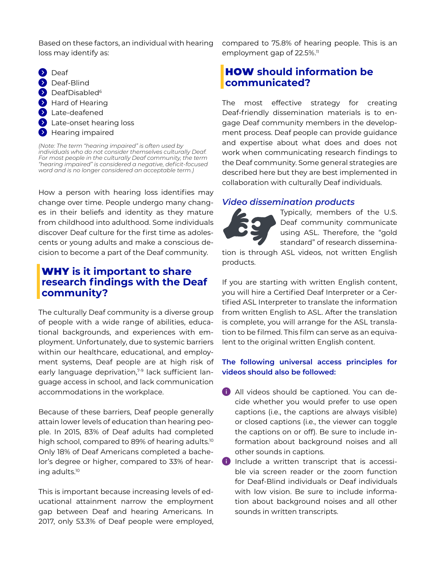Based on these factors, an individual with hearing loss may identify as:

**Deaf Deaf-Blind DeafDisabled<sup>6</sup> A** Hard of Hearing **>** Late-deafened **Example 2 Section** Late-onset hearing loss **Hearing impaired** 

*(Note: The term "hearing impaired" is often used by individuals who do not consider themselves culturally Deaf. For most people in the culturally Deaf community, the term "hearing impaired" is considered a negative, deficit-focused word and is no longer considered an acceptable term.)* 

How a person with hearing loss identifies may change over time. People undergo many changes in their beliefs and identity as they mature from childhood into adulthood. Some individuals discover Deaf culture for the first time as adolescents or young adults and make a conscious decision to become a part of the Deaf community.

## WHY **is it important to share research findings with the Deaf community?**

The culturally Deaf community is a diverse group of people with a wide range of abilities, educational backgrounds, and experiences with employment. Unfortunately, due to systemic barriers within our healthcare, educational, and employment systems, Deaf people are at high risk of early language deprivation,<sup>7-9</sup> lack sufficient language access in school, and lack communication accommodations in the workplace.

Because of these barriers, Deaf people generally attain lower levels of education than hearing people. In 2015, 83% of Deaf adults had completed high school, compared to 89% of hearing adults.<sup>10</sup> Only 18% of Deaf Americans completed a bachelor's degree or higher, compared to 33% of hearing adults.10

This is important because increasing levels of educational attainment narrow the employment gap between Deaf and hearing Americans. In 2017, only 53.3% of Deaf people were employed,

compared to 75.8% of hearing people. This is an employment gap of 22.5%.<sup>11</sup>

## HOW **should information be communicated?**

The most effective strategy for creating Deaf-friendly dissemination materials is to engage Deaf community members in the development process. Deaf people can provide guidance and expertise about what does and does not work when communicating research findings to the Deaf community. Some general strategies are described here but they are best implemented in collaboration with culturally Deaf individuals.

#### *Video dissemination products*

Typically, members of the U.S. Deaf community communicate using ASL. Therefore, the "gold standard" of research dissemina-

tion is through ASL videos, not written English products.

If you are starting with written English content, you will hire a Certified Deaf Interpreter or a Certified ASL Interpreter to translate the information from written English to ASL. After the translation is complete, you will arrange for the ASL translation to be filmed. This film can serve as an equivalent to the original written English content.

#### **The following universal access principles for videos should also be followed:**

- 1 All videos should be captioned. You can decide whether you would prefer to use open captions (i.e., the captions are always visible) or closed captions (i.e., the viewer can toggle the captions on or off). Be sure to include information about background noises and all other sounds in captions.
- N Include a written transcript that is accessible via screen reader or the zoom function for Deaf-Blind individuals or Deaf individuals with low vision. Be sure to include information about background noises and all other sounds in written transcripts.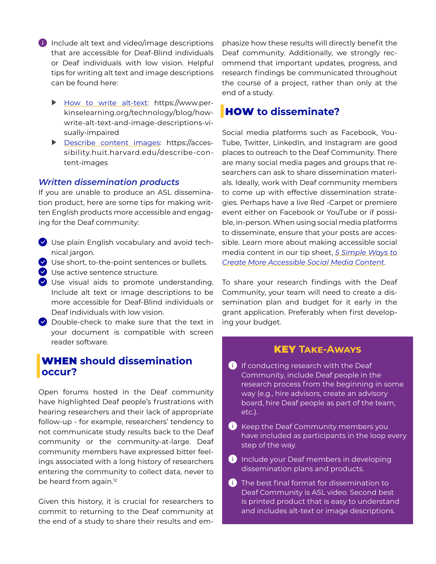- $\bullet$  Include alt text and video/image descriptions that are accessible for Deaf-Blind individuals or Deaf individuals with low vision. Helpful tips for writing alt text and image descriptions can be found here:
	- [How to write alt-text:](https://www.perkinselearning.org/technology/blog/how-write-alt-text-and-image-descriptions-visually-impaired) https://www.perkinselearning.org/technology/blog/howwrite-alt-text-and-image-descriptions-visually-impaired
	- [Describe content images:](https://accessibility.huit.harvard.edu/describe-content-images) https://accessibility.huit.harvard.edu/describe-content-images

#### *Written dissemination products*

If you are unable to produce an ASL dissemination product, here are some tips for making written English products more accessible and engaging for the Deaf community:

- $\blacktriangleright$  Use plain English vocabulary and avoid technical jargon.
- $\blacktriangleright$  Use short, to-the-point sentences or bullets.
- $\blacktriangleright$  Use active sentence structure.
- $\vee$  Use visual aids to promote understanding. Include alt text or image descriptions to be more accessible for Deaf-Blind individuals or Deaf individuals with low vision.
- $\bullet$  Double-check to make sure that the text in your document is compatible with screen reader software.

### WHEN **should dissemination occur?**

Open forums hosted in the Deaf community have highlighted Deaf people's frustrations with hearing researchers and their lack of appropriate follow-up - for example, researchers' tendency to not communicate study results back to the Deaf community or the community-at-large. Deaf community members have expressed bitter feelings associated with a long history of researchers entering the community to collect data, never to be heard from again.<sup>12</sup>

Given this history, it is crucial for researchers to commit to returning to the Deaf community at the end of a study to share their results and emphasize how these results will directly benefit the Deaf community. Additionally, we strongly recommend that important updates, progress, and research findings be communicated throughout the course of a project, rather than only at the end of a study.

## HOW **to disseminate?**

Social media platforms such as Facebook, You-Tube, Twitter, LinkedIn, and Instagram are good places to outreach to the Deaf Community. There are many social media pages and groups that researchers can ask to share dissemination materials. Ideally, work with Deaf community members to come up with effective dissemination strategies. Perhaps have a live Red -Carpet or premiere event either on Facebook or YouTube or if possible, in-person. When using social media platforms to disseminate, ensure that your posts are accessible. Learn more about making accessible social media content in our tip sheet, *[5 Simple Ways to](https://umassmed.edu/cekter/resources/accessibility/2021/07/accessible-social-media-content/) [Create More Accessible Social Media Content](https://umassmed.edu/cekter/resources/accessibility/2021/07/accessible-social-media-content/)*.

To share your research findings with the Deaf Community, your team will need to create a dissemination plan and budget for it early in the grant application. Preferably when first developing your budget.

#### KEY **Take-Aways**

- **i** If conducting research with the Deaf Community, include Deaf people in the research process from the beginning in some way (e.g., hire advisors, create an advisory board, hire Deaf people as part of the team, etc.).
- i) Keep the Deaf Community members you have included as participants in the loop every step of the way.
- i) Include your Deaf members in developing dissemination plans and products.
- **1** The best final format for dissemination to Deaf Community is ASL video. Second best is printed product that is easy to understand and includes alt-text or image descriptions.